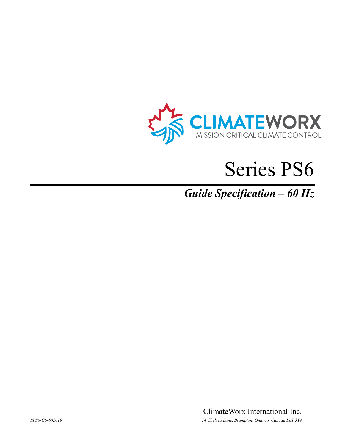

# Series PS6

# *Guide Specification – 60 Hz*

ClimateWorx International Inc. *SPS6-GS-602019 14 Chelsea Lane, Brampton, Ontario, Canada L6T 3Y4*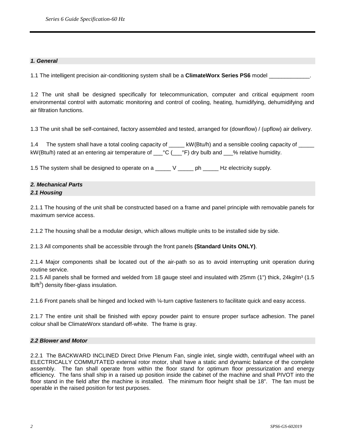# *1. General*

1.1 The intelligent precision air-conditioning system shall be a **ClimateWorx Series PS6** model \_\_\_\_\_\_\_\_\_\_\_\_\_.

1.2 The unit shall be designed specifically for telecommunication, computer and critical equipment room environmental control with automatic monitoring and control of cooling, heating, humidifying, dehumidifying and air filtration functions.

1.3 The unit shall be self-contained, factory assembled and tested, arranged for (downflow) / (upflow) air delivery.

1.4 The system shall have a total cooling capacity of \_\_\_\_\_ kW(Btu/h) and a sensible cooling capacity of \_\_\_\_\_ kW(Btu/h) rated at an entering air temperature of  $C$  ( $C$ °F) dry bulb and  $C$  relative humidity.

1.5 The system shall be designed to operate on a \_\_\_\_\_ V \_\_\_\_\_ ph \_\_\_\_\_ Hz electricity supply.

# *2. Mechanical Parts 2.1 Housing*

2.1.1 The housing of the unit shall be constructed based on a frame and panel principle with removable panels for maximum service access.

2.1.2 The housing shall be a modular design, which allows multiple units to be installed side by side.

2.1.3 All components shall be accessible through the front panels **(Standard Units ONLY)**.

2.1.4 Major components shall be located out of the air-path so as to avoid interrupting unit operation during routine service.

2.1.5 All panels shall be formed and welded from 18 gauge steel and insulated with 25mm  $(1")$  thick, 24kg/m<sup>3</sup>  $(1.5)$  $lb/ft<sup>3</sup>$ ) density fiber-glass insulation.

2.1.6 Front panels shall be hinged and locked with ¼-turn captive fasteners to facilitate quick and easy access.

2.1.7 The entire unit shall be finished with epoxy powder paint to ensure proper surface adhesion. The panel colour shall be ClimateWorx standard off-white. The frame is gray.

#### *2.2 Blower and Motor*

2.2.1 The BACKWARD INCLINED Direct Drive Plenum Fan, single inlet, single width, centrifugal wheel with an ELECTRICALLY COMMUTATED external rotor motor, shall have a static and dynamic balance of the complete assembly. The fan shall operate from within the floor stand for optimum floor pressurization and energy efficiency. The fans shall ship in a raised up position inside the cabinet of the machine and shall PIVOT into the floor stand in the field after the machine is installed. The minimum floor height shall be 18". The fan must be operable in the raised position for test purposes.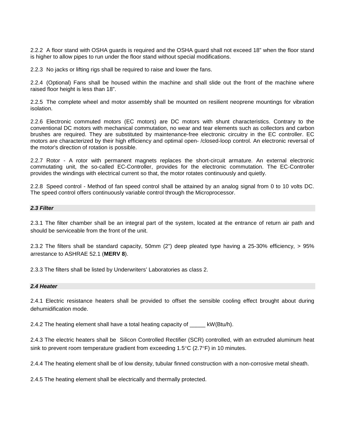2.2.2 A floor stand with OSHA guards is required and the OSHA guard shall not exceed 18" when the floor stand is higher to allow pipes to run under the floor stand without special modifications.

2.2.3 No jacks or lifting rigs shall be required to raise and lower the fans.

2.2.4 (Optional) Fans shall be housed within the machine and shall slide out the front of the machine where raised floor height is less than 18".

2.2.5 The complete wheel and motor assembly shall be mounted on resilient neoprene mountings for vibration isolation.

2.2.6 Electronic commuted motors (EC motors) are DC motors with shunt characteristics. Contrary to the conventional DC motors with mechanical commutation, no wear and tear elements such as collectors and carbon brushes are required. They are substituted by maintenance-free electronic circuitry in the EC controller. EC motors are characterized by their high efficiency and optimal open- /closed-loop control. An electronic reversal of the motor's direction of rotation is possible.

2.2.7 Rotor - A rotor with permanent magnets replaces the short-circuit armature. An external electronic commutating unit, the so-called EC-Controller, provides for the electronic commutation. The EC-Controller provides the windings with electrical current so that, the motor rotates continuously and quietly.

2.2.8 Speed control - Method of fan speed control shall be attained by an analog signal from 0 to 10 volts DC. The speed control offers continuously variable control through the Microprocessor.

# *2.3 Filter*

2.3.1 The filter chamber shall be an integral part of the system, located at the entrance of return air path and should be serviceable from the front of the unit.

2.3.2 The filters shall be standard capacity, 50mm (2") deep pleated type having a 25-30% efficiency, > 95% arrestance to ASHRAE 52.1 (**MERV 8**).

2.3.3 The filters shall be listed by Underwriters' Laboratories as class 2.

#### *2.4 Heater*

2.4.1 Electric resistance heaters shall be provided to offset the sensible cooling effect brought about during dehumidification mode.

2.4.2 The heating element shall have a total heating capacity of \_\_\_\_\_ kW(Btu/h).

2.4.3 The electric heaters shall be Silicon Controlled Rectifier (SCR) controlled, with an extruded aluminum heat sink to prevent room temperature gradient from exceeding  $1.5^{\circ}$ C (2.7 $^{\circ}$ F) in 10 minutes.

2.4.4 The heating element shall be of low density, tubular finned construction with a non-corrosive metal sheath.

2.4.5 The heating element shall be electrically and thermally protected.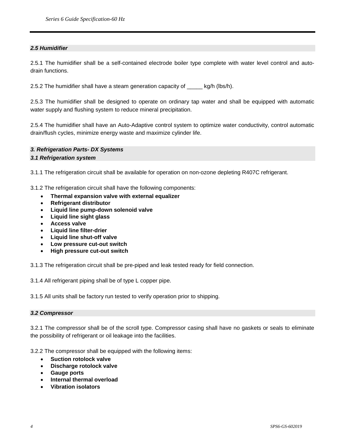# *2.5 Humidifier*

2.5.1 The humidifier shall be a self-contained electrode boiler type complete with water level control and autodrain functions.

2.5.2 The humidifier shall have a steam generation capacity of \_\_\_\_\_ kg/h (lbs/h).

2.5.3 The humidifier shall be designed to operate on ordinary tap water and shall be equipped with automatic water supply and flushing system to reduce mineral precipitation.

2.5.4 The humidifier shall have an Auto-Adaptive control system to optimize water conductivity, control automatic drain/flush cycles, minimize energy waste and maximize cylinder life.

# *3. Refrigeration Parts- DX Systems*

#### *3.1 Refrigeration system*

3.1.1 The refrigeration circuit shall be available for operation on non-ozone depleting R407C refrigerant.

3.1.2 The refrigeration circuit shall have the following components:

- **Thermal expansion valve with external equalizer**
- **Refrigerant distributor**
- **Liquid line pump-down solenoid valve**
- **Liquid line sight glass**
- **Access valve**
- **Liquid line filter-drier**
- **Liquid line shut-off valve**
- **Low pressure cut-out switch**
- **High pressure cut-out switch**

3.1.3 The refrigeration circuit shall be pre-piped and leak tested ready for field connection.

3.1.4 All refrigerant piping shall be of type L copper pipe.

3.1.5 All units shall be factory run tested to verify operation prior to shipping.

#### *3.2 Compressor*

3.2.1 The compressor shall be of the scroll type. Compressor casing shall have no gaskets or seals to eliminate the possibility of refrigerant or oil leakage into the facilities.

3.2.2 The compressor shall be equipped with the following items:

- **Suction rotolock valve**
- **Discharge rotolock valve**
- **Gauge ports**
- **Internal thermal overload**
- **Vibration isolators**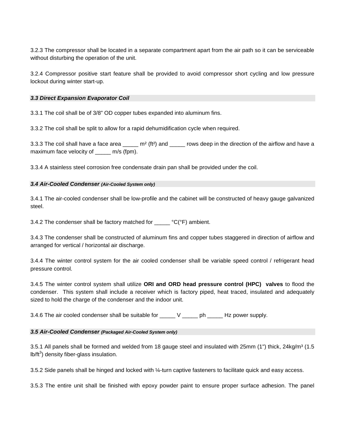3.2.3 The compressor shall be located in a separate compartment apart from the air path so it can be serviceable without disturbing the operation of the unit.

3.2.4 Compressor positive start feature shall be provided to avoid compressor short cycling and low pressure lockout during winter start-up.

#### *3.3 Direct Expansion Evaporator Coil*

3.3.1 The coil shall be of 3/8" OD copper tubes expanded into aluminum fins.

3.3.2 The coil shall be split to allow for a rapid dehumidification cycle when required.

3.3.3 The coil shall have a face area  $\frac{m^2}{f(t^2)}$  and  $\frac{m}{f(t^2)}$  rows deep in the direction of the airflow and have a maximum face velocity of \_\_\_\_\_ m/s (fpm).

3.3.4 A stainless steel corrosion free condensate drain pan shall be provided under the coil.

#### *3.4 Air-Cooled Condenser (Air-Cooled System only)*

3.4.1 The air-cooled condenser shall be low-profile and the cabinet will be constructed of heavy gauge galvanized steel.

3.4.2 The condenser shall be factory matched for  $\text{---}$  °C(°F) ambient.

3.4.3 The condenser shall be constructed of aluminum fins and copper tubes staggered in direction of airflow and arranged for vertical / horizontal air discharge.

3.4.4 The winter control system for the air cooled condenser shall be variable speed control / refrigerant head pressure control.

3.4.5 The winter control system shall utilize **ORI and ORD head pressure control (HPC) valves** to flood the condenser. This system shall include a receiver which is factory piped, heat traced, insulated and adequately sized to hold the charge of the condenser and the indoor unit.

3.4.6 The air cooled condenser shall be suitable for \_\_\_\_\_\_ V \_\_\_\_\_\_ ph \_\_\_\_\_\_ Hz power supply.

#### *3.5 Air-Cooled Condenser (Packaged Air-Cooled System only)*

3.5.1 All panels shall be formed and welded from 18 gauge steel and insulated with 25mm (1") thick, 24kg/m<sup>3</sup> (1.5 lb/ft<sup>3</sup>) density fiber-glass insulation.

3.5.2 Side panels shall be hinged and locked with ¼-turn captive fasteners to facilitate quick and easy access.

3.5.3 The entire unit shall be finished with epoxy powder paint to ensure proper surface adhesion. The panel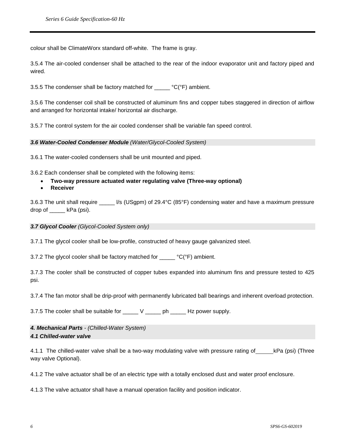colour shall be ClimateWorx standard off-white. The frame is gray.

3.5.4 The air-cooled condenser shall be attached to the rear of the indoor evaporator unit and factory piped and wired.

3.5.5 The condenser shall be factory matched for  $\text{---}$  °C(°F) ambient.

3.5.6 The condenser coil shall be constructed of aluminum fins and copper tubes staggered in direction of airflow and arranged for horizontal intake/ horizontal air discharge.

3.5.7 The control system for the air cooled condenser shall be variable fan speed control.

*3.6 Water-Cooled Condenser Module (Water/Glycol-Cooled System)*

3.6.1 The water-cooled condensers shall be unit mounted and piped.

3.6.2 Each condenser shall be completed with the following items:

- **Two-way pressure actuated water regulating valve (Three-way optional)**
- **Receiver**

3.6.3 The unit shall require  $\frac{1}{s}$  (USgpm) of 29.4°C (85°F) condensing water and have a maximum pressure drop of \_\_\_\_\_ kPa (psi).

*3.7 Glycol Cooler (Glycol-Cooled System only)*

3.7.1 The glycol cooler shall be low-profile, constructed of heavy gauge galvanized steel.

3.7.2 The glycol cooler shall be factory matched for \_\_\_\_\_ °C(°F) ambient.

3.7.3 The cooler shall be constructed of copper tubes expanded into aluminum fins and pressure tested to 425 psi.

3.7.4 The fan motor shall be drip-proof with permanently lubricated ball bearings and inherent overload protection.

3.7.5 The cooler shall be suitable for \_\_\_\_\_ V \_\_\_\_\_ ph \_\_\_\_\_ Hz power supply.

*4. Mechanical Parts - (Chilled-Water System) 4.1 Chilled-water valve*

4.1.1 The chilled-water valve shall be a two-way modulating valve with pressure rating of kPa (psi) (Three way valve Optional).

4.1.2 The valve actuator shall be of an electric type with a totally enclosed dust and water proof enclosure.

4.1.3 The valve actuator shall have a manual operation facility and position indicator.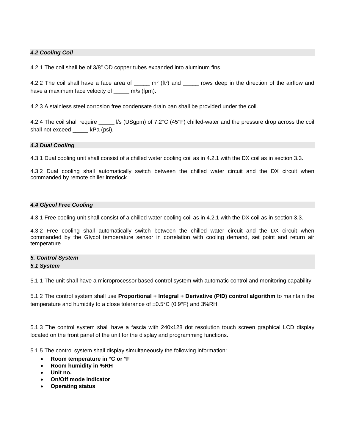# *4.2 Cooling Coil*

4.2.1 The coil shall be of 3/8" OD copper tubes expanded into aluminum fins.

4.2.2 The coil shall have a face area of  $\sum_{m=1}^{m}$  (ft<sup>2</sup>) and  $\sum_{m=1}^{m}$  rows deep in the direction of the airflow and have a maximum face velocity of \_\_\_\_\_ m/s (fpm).

4.2.3 A stainless steel corrosion free condensate drain pan shall be provided under the coil.

4.2.4 The coil shall require  $\frac{1}{s}$  (USgpm) of 7.2°C (45°F) chilled-water and the pressure drop across the coil shall not exceed \_\_\_\_\_ kPa (psi).

#### *4.3 Dual Cooling*

4.3.1 Dual cooling unit shall consist of a chilled water cooling coil as in 4.2.1 with the DX coil as in section 3.3.

4.3.2 Dual cooling shall automatically switch between the chilled water circuit and the DX circuit when commanded by remote chiller interlock.

#### *4.4 Glycol Free Cooling*

4.3.1 Free cooling unit shall consist of a chilled water cooling coil as in 4.2.1 with the DX coil as in section 3.3.

4.3.2 Free cooling shall automatically switch between the chilled water circuit and the DX circuit when commanded by the Glycol temperature sensor in correlation with cooling demand, set point and return air temperature

# *5. Control System*

#### *5.1 System*

5.1.1 The unit shall have a microprocessor based control system with automatic control and monitoring capability.

5.1.2 The control system shall use **Proportional + Integral + Derivative (PID) control algorithm** to maintain the temperature and humidity to a close tolerance of ±0.5°C (0.9°F) and 3%RH.

5.1.3 The control system shall have a fascia with 240x128 dot resolution touch screen graphical LCD display located on the front panel of the unit for the display and programming functions.

5.1.5 The control system shall display simultaneously the following information:

- **Room temperature in °C or °F**
- **Room humidity in %RH**
- **Unit no.**
- **On/Off mode indicator**
- **Operating status**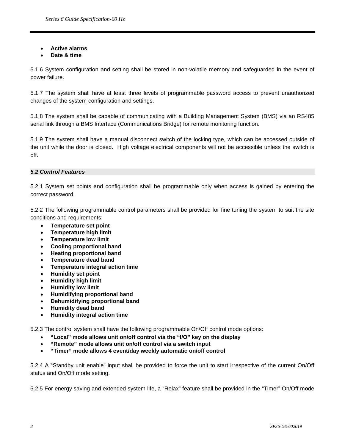• **Active alarms**

# • **Date & time**

5.1.6 System configuration and setting shall be stored in non-volatile memory and safeguarded in the event of power failure.

5.1.7 The system shall have at least three levels of programmable password access to prevent unauthorized changes of the system configuration and settings.

5.1.8 The system shall be capable of communicating with a Building Management System (BMS) via an RS485 serial link through a BMS Interface (Communications Bridge) for remote monitoring function.

5.1.9 The system shall have a manual disconnect switch of the locking type, which can be accessed outside of the unit while the door is closed. High voltage electrical components will not be accessible unless the switch is off.

#### *5.2 Control Features*

5.2.1 System set points and configuration shall be programmable only when access is gained by entering the correct password.

5.2.2 The following programmable control parameters shall be provided for fine tuning the system to suit the site conditions and requirements:

- **Temperature set point**
- **Temperature high limit**
- **Temperature low limit**
- **Cooling proportional band**
- **Heating proportional band**
- **Temperature dead band**
- **Temperature integral action time**
- **Humidity set point**
- **Humidity high limit**
- **Humidity low limit**
- **Humidifying proportional band**
- **Dehumidifying proportional band**
- **Humidity dead band**
- **Humidity integral action time**

5.2.3 The control system shall have the following programmable On/Off control mode options:

- **"Local" mode allows unit on/off control via the "I/O" key on the display**
- **"Remote" mode allows unit on/off control via a switch input**
- **"Timer" mode allows 4 event/day weekly automatic on/off control**

5.2.4 A "Standby unit enable" input shall be provided to force the unit to start irrespective of the current On/Off status and On/Off mode setting.

5.2.5 For energy saving and extended system life, a "Relax" feature shall be provided in the "Timer" On/Off mode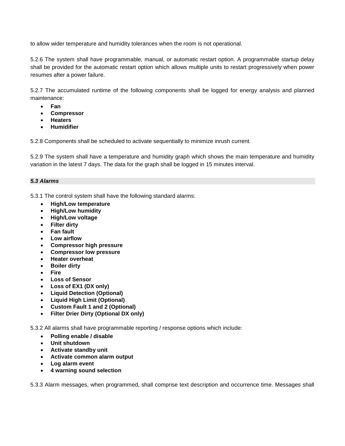to allow wider temperature and humidity tolerances when the room is not operational.

5.2.6 The system shall have programmable, manual, or automatic restart option. A programmable startup delay shall be provided for the automatic restart option which allows multiple units to restart progressively when power resumes after a power failure.

5.2.7 The accumulated runtime of the following components shall be logged for energy analysis and planned maintenance:

- **Fan**
- **Compressor**
- **Heaters**
- **Humidifier**

5.2.8 Components shall be scheduled to activate sequentially to minimize inrush current.

5.2.9 The system shall have a temperature and humidity graph which shows the main temperature and humidity variation in the latest 7 days. The data for the graph shall be logged in 15 minutes interval.

# *5.3 Alarms*

5.3.1 The control system shall have the following standard alarms:

- **High/Low temperature**
- **High/Low humidity**
- **High/Low voltage**
- **Filter dirty**
- **Fan fault**
- **Low airflow**
- **Compressor high pressure**
- **Compressor low pressure**
- **Heater overheat**
- **Boiler dirty**
- **Fire**
- **Loss of Sensor**
- **Loss of EX1 (DX only)**
- **Liquid Detection (Optional)**
- **Liquid High Limit (Optional)**
- **Custom Fault 1 and 2 (Optional)**
- **Filter Drier Dirty (Optional DX only)**

5.3.2 All alarms shall have programmable reporting / response options which include:

- **Polling enable / disable**
- **Unit shutdown**
- **Activate standby unit**
- **Activate common alarm output**
- **Log alarm event**
- **4 warning sound selection**

5.3.3 Alarm messages, when programmed, shall comprise text description and occurrence time. Messages shall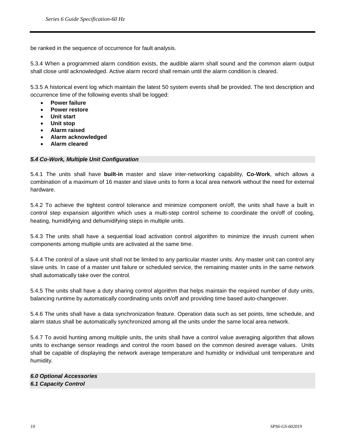be ranked in the sequence of occurrence for fault analysis.

5.3.4 When a programmed alarm condition exists, the audible alarm shall sound and the common alarm output shall close until acknowledged. Active alarm record shall remain until the alarm condition is cleared.

5.3.5 A historical event log which maintain the latest 50 system events shall be provided. The text description and occurrence time of the following events shall be logged:

- **Power failure**
- **Power restore**
- **Unit start**
- **Unit stop**
- **Alarm raised**
- **Alarm acknowledged**
- **Alarm cleared**

# *5.4 Co-Work, Multiple Unit Configuration*

5.4.1 The units shall have **built-in** master and slave inter-networking capability, **Co-Work**, which allows a combination of a maximum of 16 master and slave units to form a local area network without the need for external hardware.

5.4.2 To achieve the tightest control tolerance and minimize component on/off, the units shall have a built in control step expansion algorithm which uses a multi-step control scheme to coordinate the on/off of cooling, heating, humidifying and dehumidifying steps in multiple units.

5.4.3 The units shall have a sequential load activation control algorithm to minimize the inrush current when components among multiple units are activated at the same time.

5.4.4 The control of a slave unit shall not be limited to any particular master units. Any master unit can control any slave units. In case of a master unit failure or scheduled service, the remaining master units in the same network shall automatically take over the control.

5.4.5 The units shall have a duty sharing control algorithm that helps maintain the required number of duty units, balancing runtime by automatically coordinating units on/off and providing time based auto-changeover.

5.4.6 The units shall have a data synchronization feature. Operation data such as set points, time schedule, and alarm status shall be automatically synchronized among all the units under the same local area network.

5.4.7 To avoid hunting among multiple units, the units shall have a control value averaging algorithm that allows units to exchange sensor readings and control the room based on the common desired average values. Units shall be capable of displaying the network average temperature and humidity or individual unit temperature and humidity.

*6.0 Optional Accessories 6.1 Capacity Control*